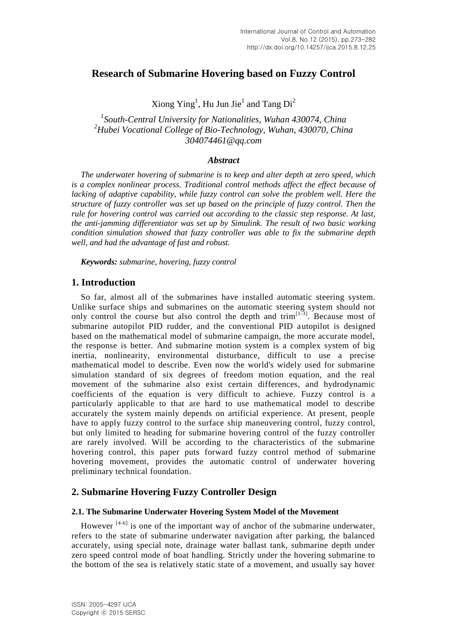# **Research of Submarine Hovering based on Fuzzy Control**

Xiong  $\text{Ying}^1$ , Hu Jun Jie $^1$  and Tang Di<sup>2</sup>

*1 South-Central University for Nationalities, Wuhan 430074, China <sup>2</sup>Hubei Vocational College of Bio-Technology, Wuhan, 430070, China 304074461@qq.com*

### *Abstract*

*The underwater hovering of submarine is to keep and alter depth at zero speed, which is a complex nonlinear process. Traditional control methods affect the effect because of lacking of adaptive capability, while fuzzy control can solve the problem well. Here the structure of fuzzy controller was set up based on the principle of fuzzy control. Then the rule for hovering control was carried out according to the classic step response. At last, the anti-jamming differentiator was set up by Simulink. The result of two basic working condition simulation showed that fuzzy controller was able to fix the submarine depth well, and had the advantage of fast and robust.*

*Keywords: submarine, hovering, fuzzy control*

## **1. Introduction**

So far, almost all of the submarines have installed automatic steering system. Unlike surface ships and submarines on the automatic steering system should not only control the course but also control the depth and trim<sup>[1-3]</sup>. Because most of submarine autopilot PID rudder, and the conventional PID autopilot is designed based on the mathematical model of submarine campaign, the more accurate model, the response is better. And submarine motion system is a complex system of big inertia, nonlinearity, environmental disturbance, difficult to use a precise mathematical model to describe. Even now the world's widely used for submarine simulation standard of six degrees of freedom motion equation, and the real movement of the submarine also exist certain differences, and hydrodynamic coefficients of the equation is very difficult to achieve. Fuzzy control is a particularly applicable to that are hard to use mathematical model to describe accurately the system mainly depends on artificial experience. At present, people have to apply fuzzy control to the surface ship maneuvering control, fuzzy control, but only limited to heading for submarine hovering control of the fuzzy controller are rarely involved. Will be according to the characteristics of the submarine hovering control, this paper puts forward fuzzy control method of submarine hovering movement, provides the automatic control of underwater hovering preliminary technical foundation.

## **2. Submarine Hovering Fuzzy Controller Design**

### **2.1. The Submarine Underwater Hovering System Model of the Movement**

However  $[4-6]$  is one of the important way of anchor of the submarine underwater, refers to the state of submarine underwater navigation after parking, the balanced accurately, using special note, drainage water ballast tank, submarine depth under zero speed control mode of boat handling. Strictly under the hovering submarine to the bottom of the sea is relatively static state of a movement, and usually say hover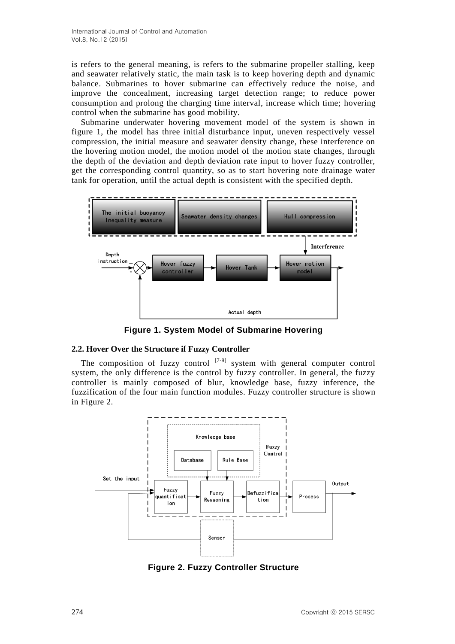is refers to the general meaning, is refers to the submarine propeller stalling, keep and seawater relatively static, the main task is to keep hovering depth and dynamic balance. Submarines to hover submarine can effectively reduce the noise, and improve the concealment, increasing target detection range; to reduce power consumption and prolong the charging time interval, increase which time; hovering control when the submarine has good mobility.

Submarine underwater hovering movement model of the system is shown in figure 1, the model has three initial disturbance input, uneven respectively vessel compression, the initial measure and seawater density change, these interference on the hovering motion model, the motion model of the motion state changes, through the depth of the deviation and depth deviation rate input to hover fuzzy controller, get the corresponding control quantity, so as to start hovering note drainage water tank for operation, until the actual depth is consistent with the specified depth.



**Figure 1. System Model of Submarine Hovering**

### **2.2. Hover Over the Structure if Fuzzy Controller**

The composition of fuzzy control  $[7-9]$  system with general computer control system, the only difference is the control by fuzzy controller. In general, the fuzzy controller is mainly composed of blur, knowledge base, fuzzy inference, the fuzzification of the four main function modules. Fuzzy controller structure is shown in Figure 2.



**Figure 2. Fuzzy Controller Structure**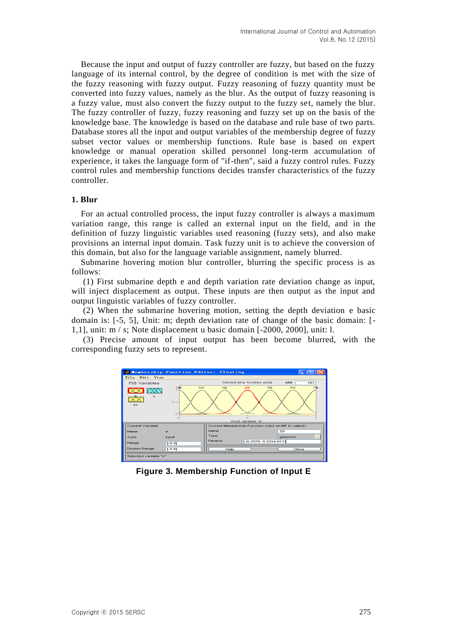Because the input and output of fuzzy controller are fuzzy, but based on the fuzzy language of its internal control, by the degree of condition is met with the size of the fuzzy reasoning with fuzzy output. Fuzzy reasoning of fuzzy quantity must be converted into fuzzy values, namely as the blur. As the output of fuzzy reasoning is a fuzzy value, must also convert the fuzzy output to the fuzzy set, namely the blur. The fuzzy controller of fuzzy, fuzzy reasoning and fuzzy set up on the basis of the knowledge base. The knowledge is based on the database and rule base of two parts. Database stores all the input and output variables of the membership degree of fuzzy subset vector values or membership functions. Rule base is based on expert knowledge or manual operation skilled personnel long-term accumulation of experience, it takes the language form of "if-then", said a fuzzy control rules. Fuzzy control rules and membership functions decides transfer characteristics of the fuzzy controller.

#### **1. Blur**

For an actual controlled process, the input fuzzy controller is always a maximum variation range, this range is called an external input on the field, and in the definition of fuzzy linguistic variables used reasoning (fuzzy sets), and also make provisions an internal input domain. Task fuzzy unit is to achieve the conversion of this domain, but also for the language variable assignment, namely blurred.

Submarine hovering motion blur controller, blurring the specific process is as follows:

(1) First submarine depth e and depth variation rate deviation change as input, will inject displacement as output. These inputs are then output as the input and output linguistic variables of fuzzy controller.

(2) When the submarine hovering motion, setting the depth deviation e basic domain is: [-5, 5], Unit: m; depth deviation rate of change of the basic domain: [- 1,1], unit: m / s; Note displacement u basic domain [-2000, 2000], unit: l.

(3) Precise amount of input output has been become blurred, with the corresponding fuzzy sets to represent.



**Figure 3. Membership Function of Input E**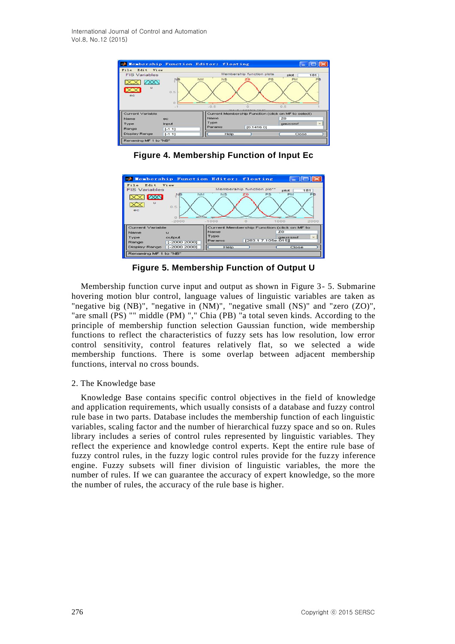

**Figure 4. Membership Function of Input Ec**



**Figure 5. Membership Function of Output U**

Membership function curve input and output as shown in Figure 3- 5. Submarine hovering motion blur control, language values of linguistic variables are taken as "negative big (NB)", "negative in (NM)", "negative small (NS)" and "zero (ZO)", "are small (PS) "" middle (PM) "," Chia (PB) "a total seven kinds. According to the principle of membership function selection Gaussian function, wide membership functions to reflect the characteristics of fuzzy sets has low resolution, low error control sensitivity, control features relatively flat, so we selected a wide membership functions. There is some overlap between adjacent membership functions, interval no cross bounds.

### 2. The Knowledge base

Knowledge Base contains specific control objectives in the field of knowledge and application requirements, which usually consists of a database and fuzzy control rule base in two parts. Database includes the membership function of each linguistic variables, scaling factor and the number of hierarchical fuzzy space and so on. Rules library includes a series of control rules represented by linguistic variables. They reflect the experience and knowledge control experts. Kept the entire rule base of fuzzy control rules, in the fuzzy logic control rules provide for the fuzzy inference engine. Fuzzy subsets will finer division of linguistic variables, the more the number of rules. If we can guarantee the accuracy of expert knowledge, so the more the number of rules, the accuracy of the rule base is higher.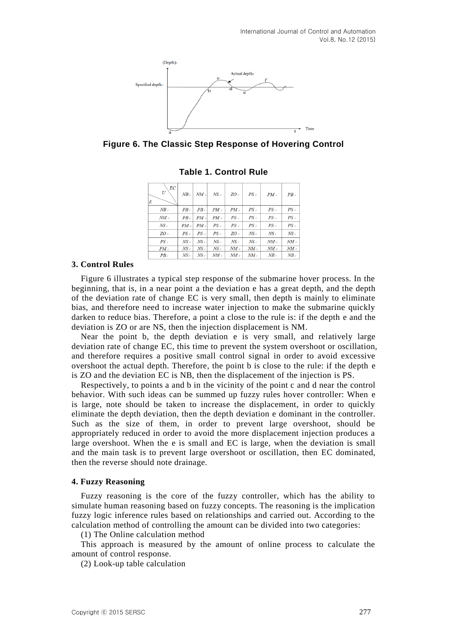

**Figure 6. The Classic Step Response of Hovering Control**

| ËС<br>U<br>E     | $NB \rightarrow$ | $NM \cdot$ | $NS \cdot$    | $ZO \rightarrow$ | $PS \rightarrow$ | $PM \circ$                             | $PB \circ$       |
|------------------|------------------|------------|---------------|------------------|------------------|----------------------------------------|------------------|
| $NB \circ$       | $PB \circ$       | $PB \circ$ | $PM \circ$    | $PM \circ$       | $PS \circ$       | $PS \circ$                             | $PS \circ$       |
| $NM \circ$       | $PB \circ$       | $PM \circ$ | $PM \circ$    | $PS \circ$       | $PS \circ$       | $PS \circ$                             | $PS \circ$       |
| $NS \rightarrow$ | $PM \cdot$       | $PM \cdot$ | $PS \times$   | $PS \rightarrow$ | $PS \rightarrow$ | $PS \mathrel{\scriptscriptstyle\circ}$ | $PS \rightarrow$ |
| $ZO \circ$       | $PS \circ$       | $PS \circ$ | $PS \circ$    | ZO               | $NS \circ$       | $NS \circ$                             | $NS \circ$       |
| $PS \circ$       | $NS \circ$       | $NS \circ$ | $NS \circ$    | $NS \circ$       | $NS \circ$       | $NM \circ$                             | $NM \circ$       |
| $PM \cdot$       | $NS \cdot$       | $NS \cdot$ | $NS \, \circ$ | $NM \circ$       | $NM \cdot$       | $NM \circ$                             | $NM \cdot$       |
| $PB \circ$       | $NS \circ$       | $NS \circ$ | $NM \circ$    | $NM \circ$       | $NM \circ$       | $NB \circ$                             | $NB \circ$       |

**Table 1. Control Rule**

#### **3. Control Rules**

Figure 6 illustrates a typical step response of the submarine hover process. In the beginning, that is, in a near point a the deviation e has a great depth, and the depth of the deviation rate of change EC is very small, then depth is mainly to eliminate bias, and therefore need to increase water injection to make the submarine quickly darken to reduce bias. Therefore, a point a close to the rule is: if the depth e and the deviation is ZO or are NS, then the injection displacement is NM.

Near the point b, the depth deviation e is very small, and relatively large deviation rate of change EC, this time to prevent the system overshoot or oscillation, and therefore requires a positive small control signal in order to avoid excessive overshoot the actual depth. Therefore, the point b is close to the rule: if the depth e is ZO and the deviation EC is NB, then the displacement of the injection is PS.

Respectively, to points a and b in the vicinity of the point c and d near the control behavior. With such ideas can be summed up fuzzy rules hover controller: When e is large, note should be taken to increase the displacement, in order to quickly eliminate the depth deviation, then the depth deviation e dominant in the controller. Such as the size of them, in order to prevent large overshoot, should be appropriately reduced in order to avoid the more displacement injection produces a large overshoot. When the e is small and EC is large, when the deviation is small and the main task is to prevent large overshoot or oscillation, then EC dominated, then the reverse should note drainage.

#### **4. Fuzzy Reasoning**

Fuzzy reasoning is the core of the fuzzy controller, which has the ability to simulate human reasoning based on fuzzy concepts. The reasoning is the implication fuzzy logic inference rules based on relationships and carried out. According to the calculation method of controlling the amount can be divided into two categories:

(1) The Online calculation method

This approach is measured by the amount of online process to calculate the amount of control response.

(2) Look-up table calculation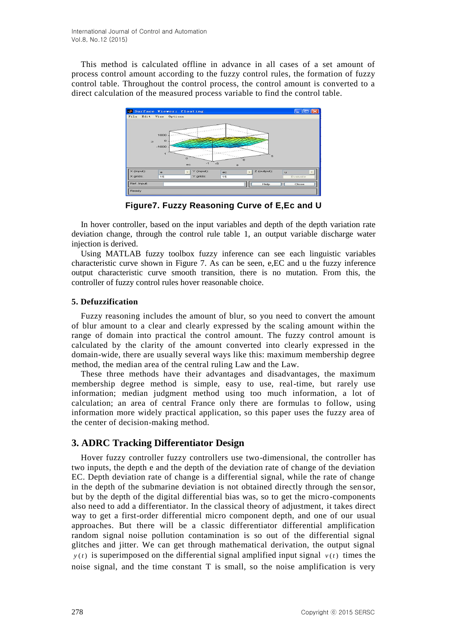This method is calculated offline in advance in all cases of a set amount of process control amount according to the fuzzy control rules, the formation of fuzzy control table. Throughout the control process, the control amount is converted to a direct calculation of the measured process variable to find the control table.



**Figure7. Fuzzy Reasoning Curve of E,Ec and U**

In hover controller, based on the input variables and depth of the depth variation rate deviation change, through the control rule table 1, an output variable discharge water injection is derived.

Using MATLAB fuzzy toolbox fuzzy inference can see each linguistic variables characteristic curve shown in Figure 7. As can be seen, e,EC and u the fuzzy inference output characteristic curve smooth transition, there is no mutation. From this, the controller of fuzzy control rules hover reasonable choice.

### **5. Defuzzification**

Fuzzy reasoning includes the amount of blur, so you need to convert the amount of blur amount to a clear and clearly expressed by the scaling amount within the range of domain into practical the control amount. The fuzzy control amount is calculated by the clarity of the amount converted into clearly expressed in the domain-wide, there are usually several ways like this: maximum membership degree method, the median area of the central ruling Law and the Law.

These three methods have their advantages and disadvantages, the maximum membership degree method is simple, easy to use, real-time, but rarely use information; median judgment method using too much information, a lot of calculation; an area of central France only there are formulas to follow, using information more widely practical application, so this paper uses the fuzzy area of the center of decision-making method.

# **3. ADRC Tracking Differentiator Design**

Hover fuzzy controller fuzzy controllers use two-dimensional, the controller has two inputs, the depth e and the depth of the deviation rate of change of the deviation EC. Depth deviation rate of change is a differential signal, while the rate of change in the depth of the submarine deviation is not obtained directly through the sensor, but by the depth of the digital differential bias was, so to get the micro-components also need to add a differentiator. In the classical theory of adjustment, it takes direct way to get a first-order differential micro component depth, and one of our usual approaches. But there will be a classic differentiator differential amplification random signal noise pollution contamination is so out of the differential signal glitches and jitter. We can get through mathematical derivation, the output signal  $y(t)$  is superimposed on the differential signal amplified input signal  $v(t)$  times the noise signal, and the time constant T is small, so the noise amplification is very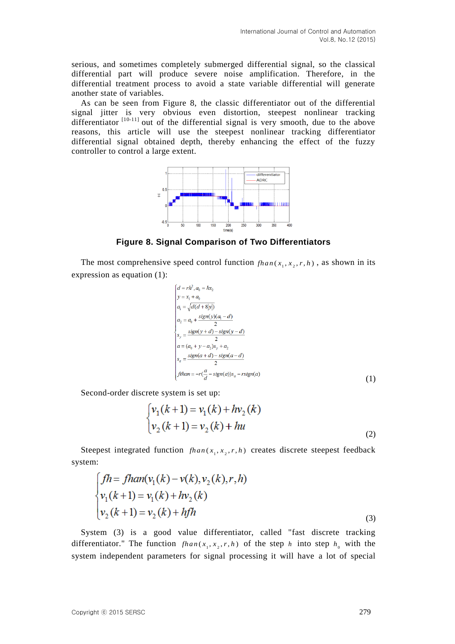serious, and sometimes completely submerged differential signal, so the classical differential part will produce severe noise amplification. Therefore, in the differential treatment process to avoid a state variable differential will generate another state of variables.

As can be seen from Figure 8, the classic differentiator out of the differential signal jitter is very obvious even distortion, steepest nonlinear tracking differentiator  $[10-11]$  out of the differential signal is very smooth, due to the above reasons, this article will use the steepest nonlinear tracking differentiator differential signal obtained depth, thereby enhancing the effect of the fuzzy controller to control a large extent.



**Figure 8. Signal Comparison of Two Differentiators**

The most comprehensive speed control function  $fhan(x_1, x_2, r, h)$ , as shown in its expression as equation (1):

$$
\begin{cases}\n d = rh^2, a_0 = hx_2 \\
y = x_1 + a_0 \\
a_1 = \sqrt{d(d+8|y)} \\
a_2 = a_0 + \frac{sign(y)(a_1 - d)}{2} \\
s_y = \frac{sign(y+d) - sign(y-d)}{2} \\
a = (a_0 + y - a_2)s_y + a_2 \\
s_a = \frac{sign(a+d) - sign(a-d)}{2} \\
f than = -r(\frac{a}{d} - sign(a))s_a - rsign(a)\n\end{cases}
$$
\n(1)

Second-order discrete system is set up:

$$
\begin{cases} v_1(k+1) = v_1(k) + hv_2(k) \\ v_2(k+1) = v_2(k) + hu \end{cases}
$$
 (2)

Steepest integrated function  $fhan(x_1, x_2, r, h)$  creates discrete steepest feedback system:

$$
\int_{V_1} f h = f h a n (v_1(k) - v(k), v_2(k), r, h)
$$
  
\n
$$
v_1(k+1) = v_1(k) + h v_2(k)
$$
  
\n
$$
v_2(k+1) = v_2(k) + h f h
$$
 (3)

System (3) is a good value differentiator, called "fast discrete tracking differentiator." The function  $fhan(x_1, x_2, r, h)$  of the step h into step  $h_0$  with the system independent parameters for signal processing it will have a lot of special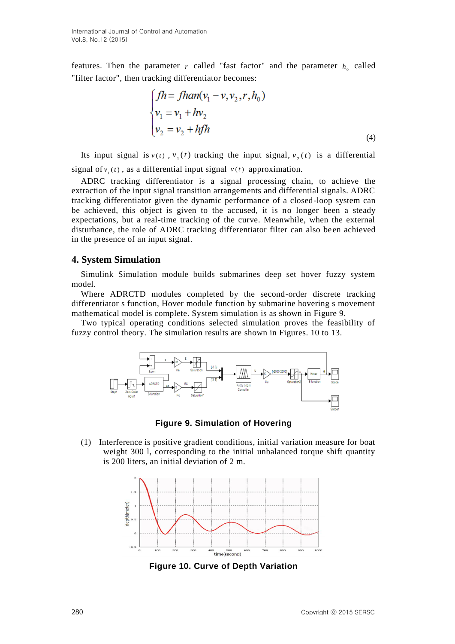features. Then the parameter  $r$  called "fast factor" and the parameter  $h_0$  called "filter factor", then tracking differentiator becomes:

$$
\int_{v_1} f h = f h a n (v_1 - v, v_2, r, h_0)
$$
  
\n
$$
v_1 = v_1 + h v_2
$$
  
\n
$$
v_2 = v_2 + h f h
$$
 (4)

Its input signal is  $v(t)$ ,  $v_1(t)$  tracking the input signal,  $v_2(t)$  is a differential signal of  $v_1(t)$ , as a differential input signal  $v(t)$  approximation.

ADRC tracking differentiator is a signal processing chain, to achieve the extraction of the input signal transition arrangements and differential signals. ADRC tracking differentiator given the dynamic performance of a closed-loop system can be achieved, this object is given to the accused, it is no longer been a steady expectations, but a real-time tracking of the curve. Meanwhile, when the external disturbance, the role of ADRC tracking differentiator filter can also been achieved in the presence of an input signal.

### **4. System Simulation**

Simulink Simulation module builds submarines deep set hover fuzzy system model.

Where ADRCTD modules completed by the second-order discrete tracking differentiator s function, Hover module function by submarine hovering s movement mathematical model is complete. System simulation is as shown in Figure 9.

Two typical operating conditions selected simulation proves the feasibility of fuzzy control theory. The simulation results are shown in Figures. 10 to 13.



**Figure 9. Simulation of Hovering**

(1) Interference is positive gradient conditions, initial variation measure for boat weight 300 l, corresponding to the initial unbalanced torque shift quantity is 200 liters, an initial deviation of 2 m.



**Figure 10. Curve of Depth Variation**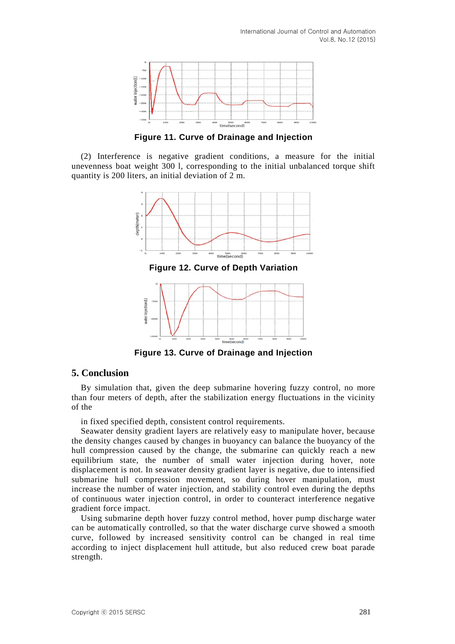

**Figure 11. Curve of Drainage and Injection**

(2) Interference is negative gradient conditions, a measure for the initial unevenness boat weight 300 l, corresponding to the initial unbalanced torque shift quantity is 200 liters, an initial deviation of 2 m.



**Figure 13. Curve of Drainage and Injection**

### **5. Conclusion**

By simulation that, given the deep submarine hovering fuzzy control, no more than four meters of depth, after the stabilization energy fluctuations in the vicinity of the

in fixed specified depth, consistent control requirements.

Seawater density gradient layers are relatively easy to manipulate hover, because the density changes caused by changes in buoyancy can balance the buoyancy of the hull compression caused by the change, the submarine can quickly reach a new equilibrium state, the number of small water injection during hover, note displacement is not. In seawater density gradient layer is negative, due to intensified submarine hull compression movement, so during hover manipulation, must increase the number of water injection, and stability control even during the depths of continuous water injection control, in order to counteract interference negative gradient force impact.

Using submarine depth hover fuzzy control method, hover pump discharge water can be automatically controlled, so that the water discharge curve showed a smooth curve, followed by increased sensitivity control can be changed in real time according to inject displacement hull attitude, but also reduced crew boat parade strength.